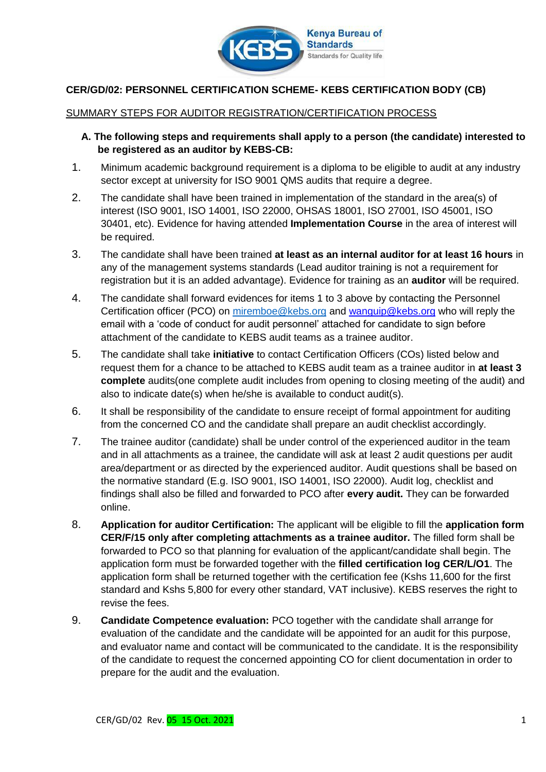

## **CER/GD/02: PERSONNEL CERTIFICATION SCHEME- KEBS CERTIFICATION BODY (CB)**

## SUMMARY STEPS FOR AUDITOR REGISTRATION/CERTIFICATION PROCESS

- **A. The following steps and requirements shall apply to a person (the candidate) interested to be registered as an auditor by KEBS-CB:**
- 1. Minimum academic background requirement is a diploma to be eligible to audit at any industry sector except at university for ISO 9001 QMS audits that require a degree.
- 2. The candidate shall have been trained in implementation of the standard in the area(s) of interest (ISO 9001, ISO 14001, ISO 22000, OHSAS 18001, ISO 27001, ISO 45001, ISO 30401, etc). Evidence for having attended **Implementation Course** in the area of interest will be required.
- 3. The candidate shall have been trained **at least as an internal auditor for at least 16 hours** in any of the management systems standards (Lead auditor training is not a requirement for registration but it is an added advantage). Evidence for training as an **auditor** will be required.
- 4. The candidate shall forward evidences for items 1 to 3 above by contacting the Personnel Certification officer (PCO) on miremboe@kebs.org and wanguip@kebs.org who will reply the email with a 'code of conduct for audit personnel' attached for candidate to sign before attachment of the candidate to KEBS audit teams as a trainee auditor.
- 5. The candidate shall take **initiative** to contact Certification Officers (COs) listed below and request them for a chance to be attached to KEBS audit team as a trainee auditor in **at least 3 complete** audits(one complete audit includes from opening to closing meeting of the audit) and also to indicate date(s) when he/she is available to conduct audit(s).
- 6. It shall be responsibility of the candidate to ensure receipt of formal appointment for auditing from the concerned CO and the candidate shall prepare an audit checklist accordingly.
- 7. The trainee auditor (candidate) shall be under control of the experienced auditor in the team and in all attachments as a trainee, the candidate will ask at least 2 audit questions per audit area/department or as directed by the experienced auditor. Audit questions shall be based on the normative standard (E.g. ISO 9001, ISO 14001, ISO 22000). Audit log, checklist and findings shall also be filled and forwarded to PCO after **every audit.** They can be forwarded online.
- 8. **Application for auditor Certification:** The applicant will be eligible to fill the **application form CER/F/15 only after completing attachments as a trainee auditor.** The filled form shall be forwarded to PCO so that planning for evaluation of the applicant/candidate shall begin. The application form must be forwarded together with the **filled certification log CER/L/O1**. The application form shall be returned together with the certification fee (Kshs 11,600 for the first standard and Kshs 5,800 for every other standard, VAT inclusive). KEBS reserves the right to revise the fees.
- 9. **Candidate Competence evaluation:** PCO together with the candidate shall arrange for evaluation of the candidate and the candidate will be appointed for an audit for this purpose, and evaluator name and contact will be communicated to the candidate. It is the responsibility of the candidate to request the concerned appointing CO for client documentation in order to prepare for the audit and the evaluation.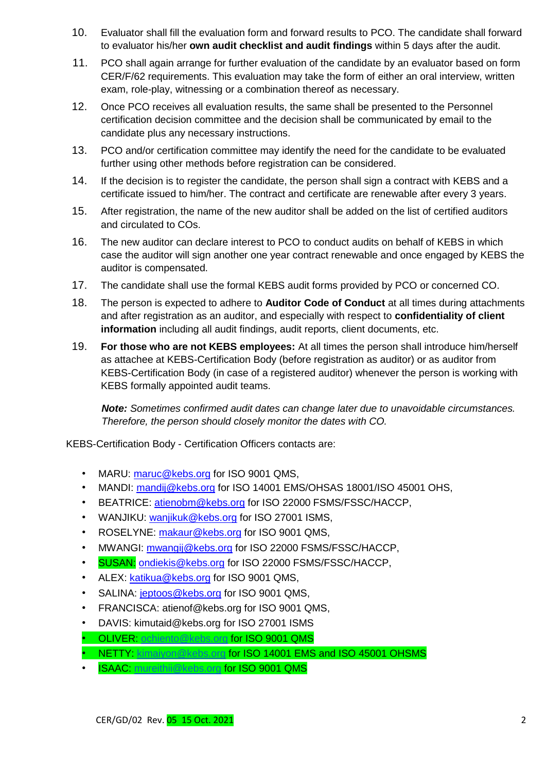- 10. Evaluator shall fill the evaluation form and forward results to PCO. The candidate shall forward to evaluator his/her **own audit checklist and audit findings** within 5 days after the audit.
- 11. PCO shall again arrange for further evaluation of the candidate by an evaluator based on form CER/F/62 requirements. This evaluation may take the form of either an oral interview, written exam, role-play, witnessing or a combination thereof as necessary.
- 12. Once PCO receives all evaluation results, the same shall be presented to the Personnel certification decision committee and the decision shall be communicated by email to the candidate plus any necessary instructions.
- 13. PCO and/or certification committee may identify the need for the candidate to be evaluated further using other methods before registration can be considered.
- 14. If the decision is to register the candidate, the person shall sign a contract with KEBS and a certificate issued to him/her. The contract and certificate are renewable after every 3 years.
- 15. After registration, the name of the new auditor shall be added on the list of certified auditors and circulated to COs.
- 16. The new auditor can declare interest to PCO to conduct audits on behalf of KEBS in which case the auditor will sign another one year contract renewable and once engaged by KEBS the auditor is compensated.
- 17. The candidate shall use the formal KEBS audit forms provided by PCO or concerned CO.
- 18. The person is expected to adhere to **Auditor Code of Conduct** at all times during attachments and after registration as an auditor, and especially with respect to **confidentiality of client information** including all audit findings, audit reports, client documents, etc.
- 19. **For those who are not KEBS employees:** At all times the person shall introduce him/herself as attachee at KEBS-Certification Body (before registration as auditor) or as auditor from KEBS-Certification Body (in case of a registered auditor) whenever the person is working with KEBS formally appointed audit teams.

*Note: Sometimes confirmed audit dates can change later due to unavoidable circumstances. Therefore, the person should closely monitor the dates with CO.* 

KEBS-Certification Body - Certification Officers contacts are:

- MARU: maruc@kebs.org for ISO 9001 QMS.
- MANDI: mandij@kebs.org for ISO 14001 EMS/OHSAS 18001/ISO 45001 OHS.
- BEATRICE: atienobm@kebs.org for ISO 22000 FSMS/FSSC/HACCP,
- WANJIKU: wanjikuk@kebs.org for ISO 27001 ISMS,
- ROSELYNE: makaur@kebs.org for ISO 9001 QMS,
- MWANGI: mwangij@kebs.org for ISO 22000 FSMS/FSSC/HACCP,
- SUSAN: ondiekis@kebs.org for ISO 22000 FSMS/FSSC/HACCP,
- ALEX: katikua@kebs.org for ISO 9001 QMS,
- SALINA: jeptoos@kebs.org for ISO 9001 QMS,
- FRANCISCA: atienof@kebs.org for ISO 9001 QMS,
- DAVIS: kimutaid@kebs.org for ISO 27001 ISMS
- OLIVER: [ochiento@kebs.org](mailto:ochiento@kebs.org) for ISO 9001 QMS
- NETTY: [kimaiyon@kebs.org](mailto:kimaiyon@kebs.org) for ISO 14001 EMS and ISO 45001 OHSMS
- **ISAAC:** [mureithii@kebs.org](mailto:mureithii@kebs.org) for ISO 9001 QMS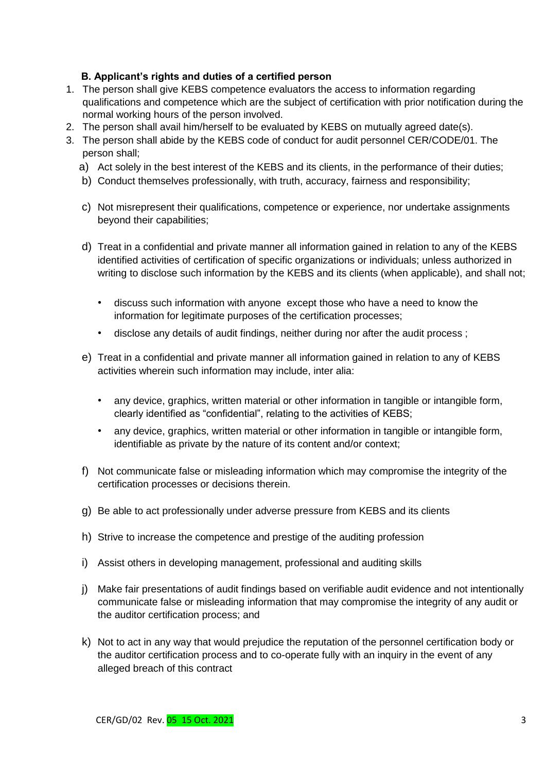## **B. Applicant's rights and duties of a certified person**

- 1. The person shall give KEBS competence evaluators the access to information regarding qualifications and competence which are the subject of certification with prior notification during the normal working hours of the person involved.
- 2. The person shall avail him/herself to be evaluated by KEBS on mutually agreed date(s).
- 3. The person shall abide by the KEBS code of conduct for audit personnel CER/CODE/01. The person shall;
	- a) Act solely in the best interest of the KEBS and its clients, in the performance of their duties;
	- b) Conduct themselves professionally, with truth, accuracy, fairness and responsibility;
	- c) Not misrepresent their qualifications, competence or experience, nor undertake assignments beyond their capabilities;
	- d) Treat in a confidential and private manner all information gained in relation to any of the KEBS identified activities of certification of specific organizations or individuals; unless authorized in writing to disclose such information by the KEBS and its clients (when applicable), and shall not;
		- discuss such information with anyone except those who have a need to know the information for legitimate purposes of the certification processes;
		- disclose any details of audit findings, neither during nor after the audit process ;
	- e) Treat in a confidential and private manner all information gained in relation to any of KEBS activities wherein such information may include, inter alia:
		- any device, graphics, written material or other information in tangible or intangible form, clearly identified as "confidential", relating to the activities of KEBS;
		- any device, graphics, written material or other information in tangible or intangible form, identifiable as private by the nature of its content and/or context;
	- f) Not communicate false or misleading information which may compromise the integrity of the certification processes or decisions therein.
	- g) Be able to act professionally under adverse pressure from KEBS and its clients
	- h) Strive to increase the competence and prestige of the auditing profession
	- i) Assist others in developing management, professional and auditing skills
	- j) Make fair presentations of audit findings based on verifiable audit evidence and not intentionally communicate false or misleading information that may compromise the integrity of any audit or the auditor certification process; and
	- k) Not to act in any way that would prejudice the reputation of the personnel certification body or the auditor certification process and to co-operate fully with an inquiry in the event of any alleged breach of this contract